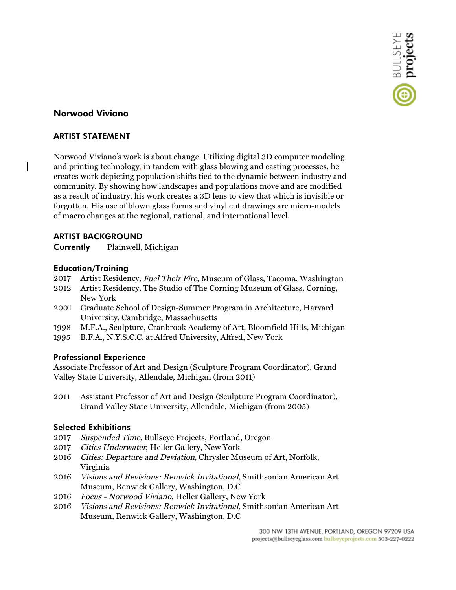# **Norwood Viviano**

## **ARTIST STATEMENT**

Norwood Viviano's work is about change. Utilizing digital 3D computer modeling and printing technology, in tandem with glass blowing and casting processes, he creates work depicting population shifts tied to the dynamic between industry and community. By showing how landscapes and populations move and are modified as a result of industry, his work creates a 3D lens to view that which is invisible or forgotten. His use of blown glass forms and vinyl cut drawings are micro-models of macro changes at the regional, national, and international level.

## **ARTIST BACKGROUND**

**Currently** Plainwell, Michigan

## **Education/Training**

- 2017 Artist Residency, Fuel Their Fire, Museum of Glass, Tacoma, Washington
- 2012 Artist Residency, The Studio of The Corning Museum of Glass, Corning, New York
- 2001 Graduate School of Design-Summer Program in Architecture, Harvard University, Cambridge, Massachusetts
- 1998 M.F.A., Sculpture, Cranbrook Academy of Art, Bloomfield Hills, Michigan
- 1995 B.F.A., N.Y.S.C.C. at Alfred University, Alfred, New York

#### **Professional Experience**

Associate Professor of Art and Design (Sculpture Program Coordinator), Grand Valley State University, Allendale, Michigan (from 2011)

2011 Assistant Professor of Art and Design (Sculpture Program Coordinator), Grand Valley State University, Allendale, Michigan (from 2005)

#### **Selected Exhibitions**

- 2017 Suspended Time, Bullseye Projects, Portland, Oregon
- 2017 Cities Underwater, Heller Gallery, New York
- 2016 Cities: Departure and Deviation, Chrysler Museum of Art, Norfolk, Virginia
- 2016 Visions and Revisions: Renwick Invitational, Smithsonian American Art Museum, Renwick Gallery, Washington, D.C
- 2016 Focus Norwood Viviano, Heller Gallery, New York
- 2016 Visions and Revisions: Renwick Invitational, Smithsonian American Art Museum, Renwick Gallery, Washington, D.C